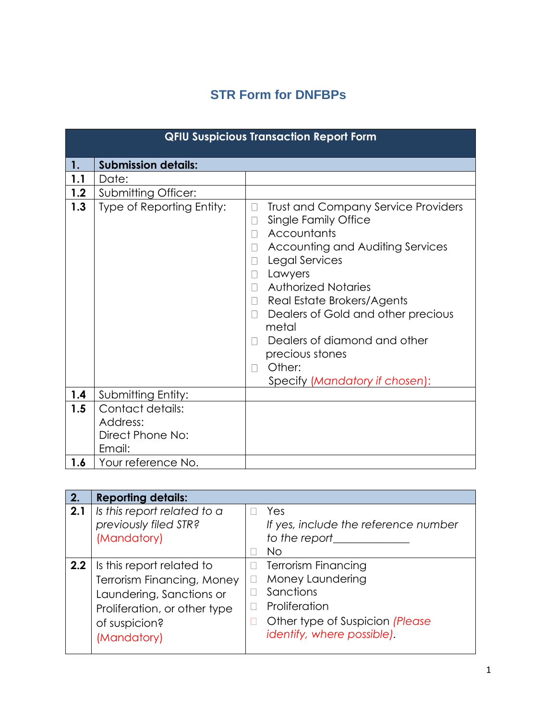## **STR Form for DNFBPs**

|     | <b>QFIU Suspicious Transaction Report Form</b>             |                                                                                                                                                                                                                                                                                                                                                                                                                                              |  |  |  |
|-----|------------------------------------------------------------|----------------------------------------------------------------------------------------------------------------------------------------------------------------------------------------------------------------------------------------------------------------------------------------------------------------------------------------------------------------------------------------------------------------------------------------------|--|--|--|
| 1.  | <b>Submission details:</b>                                 |                                                                                                                                                                                                                                                                                                                                                                                                                                              |  |  |  |
| 1.1 | Date:                                                      |                                                                                                                                                                                                                                                                                                                                                                                                                                              |  |  |  |
| 1.2 | <b>Submitting Officer:</b>                                 |                                                                                                                                                                                                                                                                                                                                                                                                                                              |  |  |  |
| 1.3 | Type of Reporting Entity:                                  | <b>Trust and Company Service Providers</b><br>П<br>Single Family Office<br>П<br>Accountants<br>П<br>Accounting and Auditing Services<br>$\Box$<br>Legal Services<br>$\Box$<br>Lawyers<br>$\Box$<br><b>Authorized Notaries</b><br>$\Box$<br>Real Estate Brokers/Agents<br>$\Box$<br>Dealers of Gold and other precious<br>$\Box$<br>metal<br>Dealers of diamond and other<br>precious stones<br>Other:<br>П<br>Specify (Mandatory if chosen): |  |  |  |
| 1.4 | Submitting Entity:                                         |                                                                                                                                                                                                                                                                                                                                                                                                                                              |  |  |  |
| 1.5 | Contact details:<br>Address:<br>Direct Phone No:<br>Email: |                                                                                                                                                                                                                                                                                                                                                                                                                                              |  |  |  |
| 1.6 | Your reference No.                                         |                                                                                                                                                                                                                                                                                                                                                                                                                                              |  |  |  |

| 2.  | <b>Reporting details:</b>                                                                                                                                  |                            |                                                                                                                                               |
|-----|------------------------------------------------------------------------------------------------------------------------------------------------------------|----------------------------|-----------------------------------------------------------------------------------------------------------------------------------------------|
| 2.1 | Is this report related to a<br>previously filed STR?<br>(Mandatory)                                                                                        | П                          | Yes<br>If yes, include the reference number<br>to the report<br>No                                                                            |
| 2.2 | Is this report related to<br><b>Terrorism Financing, Money</b><br>Laundering, Sanctions or<br>Proliferation, or other type<br>of suspicion?<br>(Mandatory) | $\Box$<br>$\Box$<br>П<br>П | <b>Terrorism Financing</b><br>Money Laundering<br>Sanctions<br>Proliferation<br>Other type of Suspicion (Please<br>identify, where possible). |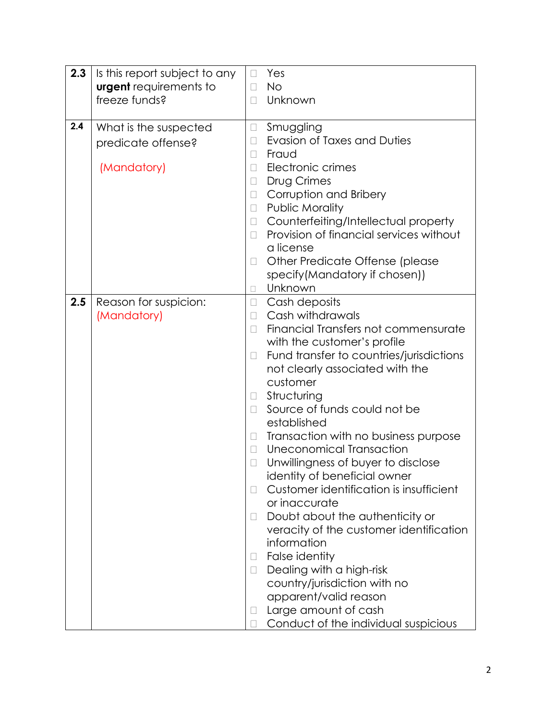| 2.3 | Is this report subject to any        | $\Box$           | Yes                                      |
|-----|--------------------------------------|------------------|------------------------------------------|
|     | <b>urgent</b> requirements to        | П                | <b>No</b>                                |
|     | freeze funds?                        | $\Box$           | Unknown                                  |
|     |                                      |                  |                                          |
| 2.4 | What is the suspected                | $\Box$           | Smuggling                                |
|     | predicate offense?                   | $\Box$           | Evasion of Taxes and Duties              |
|     |                                      | П                | Fraud                                    |
|     | (Mandatory)                          | $\Box$           | Electronic crimes                        |
|     |                                      | $\Box$           | <b>Drug Crimes</b>                       |
|     |                                      | $\Box$           | Corruption and Bribery                   |
|     |                                      | $\Box$           | Public Morality                          |
|     |                                      | $\Box$           | Counterfeiting/Intellectual property     |
|     |                                      | $\Box$           | Provision of financial services without  |
|     |                                      |                  | a license                                |
|     |                                      | $\Box$           | Other Predicate Offense (please          |
|     |                                      |                  | specify(Mandatory if chosen))<br>Unknown |
|     |                                      | $\Box$           |                                          |
| 2.5 | Reason for suspicion:<br>(Mandatory) | $\Box$<br>$\Box$ | Cash deposits<br>Cash withdrawals        |
|     |                                      | П                | Financial Transfers not commensurate     |
|     |                                      |                  | with the customer's profile              |
|     |                                      | $\Box$           | Fund transfer to countries/jurisdictions |
|     |                                      |                  | not clearly associated with the          |
|     |                                      |                  | customer                                 |
|     |                                      | $\Box$           | Structuring                              |
|     |                                      | $\Box$           | Source of funds could not be             |
|     |                                      |                  | established                              |
|     |                                      | $\Box$           | Transaction with no business purpose     |
|     |                                      | $\Box$           | Uneconomical Transaction                 |
|     |                                      | $\Box$           | Unwillingness of buyer to disclose       |
|     |                                      |                  | identity of beneficial owner             |
|     |                                      | П                | Customer identification is insufficient  |
|     |                                      |                  | or inaccurate                            |
|     |                                      | $\Box$           | Doubt about the authenticity or          |
|     |                                      |                  | veracity of the customer identification  |
|     |                                      |                  | information                              |
|     |                                      | Ц                | False identity                           |
|     |                                      | $\Box$           | Dealing with a high-risk                 |
|     |                                      |                  | country/jurisdiction with no             |
|     |                                      |                  | apparent/valid reason                    |
|     |                                      | Ц                | Large amount of cash                     |
|     |                                      | $\mathbf{L}$     | Conduct of the individual suspicious     |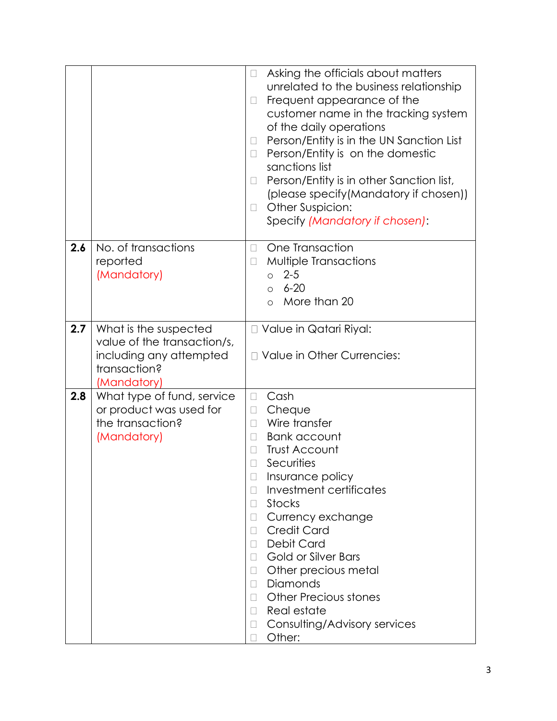|     |                                                                                                                | Asking the officials about matters<br>$\Box$<br>unrelated to the business relationship<br>Frequent appearance of the<br>П<br>customer name in the tracking system<br>of the daily operations<br>Person/Entity is in the UN Sanction List<br>Person/Entity is on the domestic<br>$\Box$<br>sanctions list<br>Person/Entity is in other Sanction list,<br>(please specify(Mandatory if chosen))<br>Other Suspicion:<br>П<br>Specify (Mandatory if chosen):            |
|-----|----------------------------------------------------------------------------------------------------------------|---------------------------------------------------------------------------------------------------------------------------------------------------------------------------------------------------------------------------------------------------------------------------------------------------------------------------------------------------------------------------------------------------------------------------------------------------------------------|
| 2.6 | No. of transactions<br>reported<br>(Mandatory)                                                                 | One Transaction<br>П<br>Multiple Transactions<br>$\Box$<br>$02 - 5$<br>$6 - 20$<br>$\circ$<br>More than 20<br>$\Omega$                                                                                                                                                                                                                                                                                                                                              |
| 2.7 | What is the suspected<br>value of the transaction/s,<br>including any attempted<br>transaction?<br>(Mandatory) | □ Value in Qatari Riyal:<br>□ Value in Other Currencies:                                                                                                                                                                                                                                                                                                                                                                                                            |
| 2.8 | What type of fund, service<br>or product was used for<br>the transaction?<br>(Mandatory)                       | Cash<br>П<br>Cheque<br>$\Box$<br>Wire transfer<br>П<br><b>Bank account</b><br>П<br><b>Trust Account</b><br>П<br>Securities<br>Insurance policy<br>П<br>Investment certificates<br>Stocks<br>Currency exchange<br>Ц<br><b>Credit Card</b><br>П<br>Debit Card<br><b>Gold or Silver Bars</b><br>П<br>Other precious metal<br>$\Box$<br>Diamonds<br>П<br><b>Other Precious stones</b><br>П<br>Real estate<br>$\Box$<br>Consulting/Advisory services<br>$\Box$<br>Other: |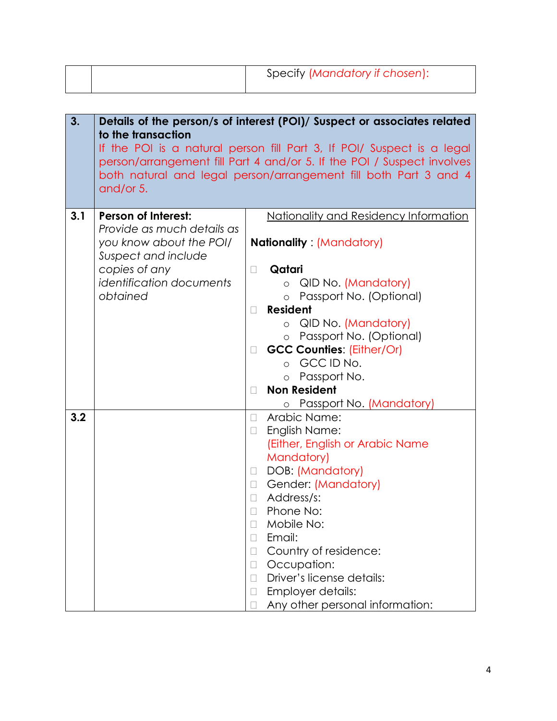| Specify (Mandatory if chosen): |
|--------------------------------|
|                                |

| 3.  | to the transaction<br>and/or 5.                                                                            | Details of the person/s of interest (POI)/ Suspect or associates related<br>If the POI is a natural person fill Part 3, If POI/ Suspect is a legal<br>person/arrangement fill Part 4 and/or 5. If the POI / Suspect involves<br>both natural and legal person/arrangement fill both Part 3 and 4 |
|-----|------------------------------------------------------------------------------------------------------------|--------------------------------------------------------------------------------------------------------------------------------------------------------------------------------------------------------------------------------------------------------------------------------------------------|
|     |                                                                                                            |                                                                                                                                                                                                                                                                                                  |
| 3.1 | <b>Person of Interest:</b><br>Provide as much details as<br>you know about the POI/<br>Suspect and include | Nationality and Residency Information<br><b>Nationality: (Mandatory)</b>                                                                                                                                                                                                                         |
|     | copies of any                                                                                              | Qatari<br>$\Box$                                                                                                                                                                                                                                                                                 |
|     | <i>identification documents</i><br>obtained                                                                | o QID No. (Mandatory)<br>o Passport No. (Optional)                                                                                                                                                                                                                                               |
|     |                                                                                                            | <b>Resident</b><br>П                                                                                                                                                                                                                                                                             |
|     |                                                                                                            | o QID No. (Mandatory)                                                                                                                                                                                                                                                                            |
|     |                                                                                                            | o Passport No. (Optional)                                                                                                                                                                                                                                                                        |
|     |                                                                                                            | <b>GCC Counties: (Either/Or)</b><br>$\Box$                                                                                                                                                                                                                                                       |
|     |                                                                                                            | o GCCIDNo.                                                                                                                                                                                                                                                                                       |
|     |                                                                                                            | o Passport No.                                                                                                                                                                                                                                                                                   |
|     |                                                                                                            | <b>Non Resident</b><br>$\Box$                                                                                                                                                                                                                                                                    |
|     |                                                                                                            | <u>o Passport No. (Mandat</u> ory)                                                                                                                                                                                                                                                               |
| 3.2 |                                                                                                            | Arabic Name:<br>$\Box$                                                                                                                                                                                                                                                                           |
|     |                                                                                                            | English Name:<br>$\Box$                                                                                                                                                                                                                                                                          |
|     |                                                                                                            | (Either, English or Arabic Name                                                                                                                                                                                                                                                                  |
|     |                                                                                                            | Mandatory)                                                                                                                                                                                                                                                                                       |
|     |                                                                                                            | DOB: (Mandatory)<br>$\Box$                                                                                                                                                                                                                                                                       |
|     |                                                                                                            | Gender: (Mandatory)<br>$\Box$                                                                                                                                                                                                                                                                    |
|     |                                                                                                            | Address/s:<br>$\Box$<br>Phone No:<br>$\Box$                                                                                                                                                                                                                                                      |
|     |                                                                                                            | Mobile No:                                                                                                                                                                                                                                                                                       |
|     |                                                                                                            | Email:                                                                                                                                                                                                                                                                                           |
|     |                                                                                                            | Country of residence:<br>Н                                                                                                                                                                                                                                                                       |
|     |                                                                                                            | Occupation:<br>$\Box$                                                                                                                                                                                                                                                                            |
|     |                                                                                                            | Driver's license details:<br>$\Box$                                                                                                                                                                                                                                                              |
|     |                                                                                                            | Employer details:                                                                                                                                                                                                                                                                                |
|     |                                                                                                            | Any other personal information:                                                                                                                                                                                                                                                                  |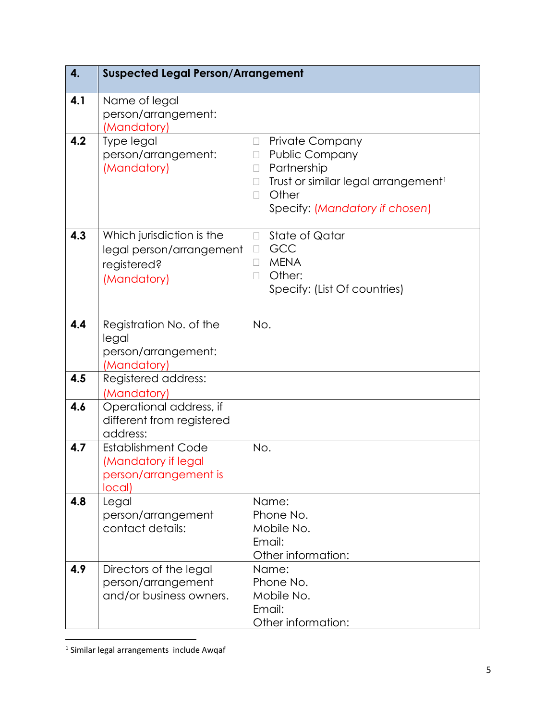| 4.  | <b>Suspected Legal Person/Arrangement</b>                                           |                                                                                                                                                                                                           |
|-----|-------------------------------------------------------------------------------------|-----------------------------------------------------------------------------------------------------------------------------------------------------------------------------------------------------------|
| 4.1 | Name of legal<br>person/arrangement:<br>(Mandatory)                                 |                                                                                                                                                                                                           |
| 4.2 | Type legal<br>person/arrangement:<br>(Mandatory)                                    | <b>Private Company</b><br>$\Box$<br><b>Public Company</b><br>П<br>Partnership<br>$\Box$<br>Trust or similar legal arrangement <sup>1</sup><br>$\Box$<br>Other<br>$\Box$<br>Specify: (Mandatory if chosen) |
| 4.3 | Which jurisdiction is the<br>legal person/arrangement<br>registered?<br>(Mandatory) | <b>State of Qatar</b><br>$\Box$<br>GCC<br>$\Box$<br><b>MENA</b><br>П<br>Other:<br>$\Box$<br>Specify: (List Of countries)                                                                                  |
| 4.4 | Registration No. of the<br>legal<br>person/arrangement:<br>(Mandatory)              | No.                                                                                                                                                                                                       |
| 4.5 | Registered address:<br>(Mandatory)                                                  |                                                                                                                                                                                                           |
| 4.6 | Operational address, if<br>different from registered<br>address:                    |                                                                                                                                                                                                           |
| 4.7 | <b>Establishment Code</b><br>(Mandatory if legal<br>person/arrangement is<br>local) | No.                                                                                                                                                                                                       |
| 4.8 | Legal<br>person/arrangement<br>contact details:                                     | Name:<br>Phone No.<br>Mobile No.<br>Email:<br>Other information:                                                                                                                                          |
| 4.9 | Directors of the legal<br>person/arrangement<br>and/or business owners.             | Name:<br>Phone No.<br>Mobile No.<br>Email:<br>Other information:                                                                                                                                          |

 1 Similar legal arrangements include Awqaf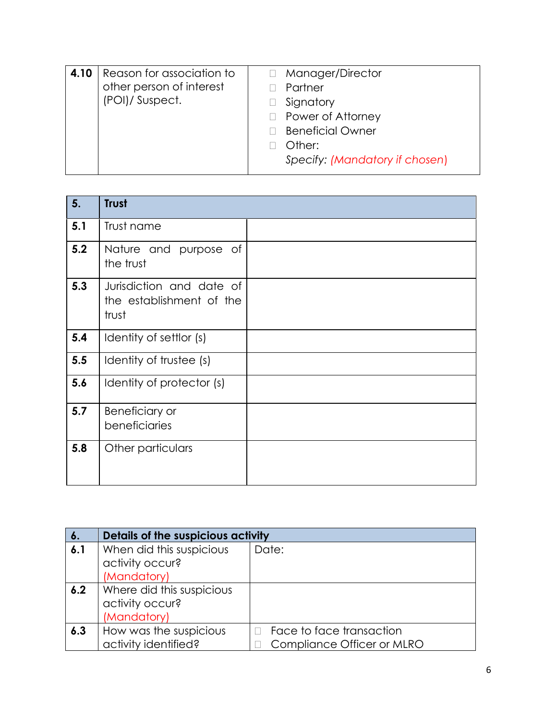| 4.10 | Reason for association to<br>other person of interest<br>(POI)/ Suspect. | Manager/Director<br>Partner<br>Signatory<br>$\Box$ Power of Attorney<br><b>Beneficial Owner</b><br>Other: |
|------|--------------------------------------------------------------------------|-----------------------------------------------------------------------------------------------------------|
|      |                                                                          | Specify: (Mandatory if chosen)                                                                            |

| 5.  | <b>Trust</b>                                                  |  |
|-----|---------------------------------------------------------------|--|
| 5.1 | Trust name                                                    |  |
| 5.2 | Nature and purpose of<br>the trust                            |  |
| 5.3 | Jurisdiction and date of<br>the establishment of the<br>trust |  |
| 5.4 | Identity of settlor (s)                                       |  |
| 5.5 | Identity of trustee (s)                                       |  |
| 5.6 | Identity of protector (s)                                     |  |
| 5.7 | Beneficiary or<br>beneficiaries                               |  |
| 5.8 | Other particulars                                             |  |

| $\boldsymbol{6}$ . | Details of the suspicious activity |                            |  |
|--------------------|------------------------------------|----------------------------|--|
| 6.1                | When did this suspicious           | Date:                      |  |
|                    | activity occur?                    |                            |  |
|                    | (Mandatory)                        |                            |  |
| 6.2                | Where did this suspicious          |                            |  |
|                    | activity occur?                    |                            |  |
|                    | (Mandatory)                        |                            |  |
| 6.3                | How was the suspicious             | Face to face transaction   |  |
|                    | activity identified?               | Compliance Officer or MLRO |  |